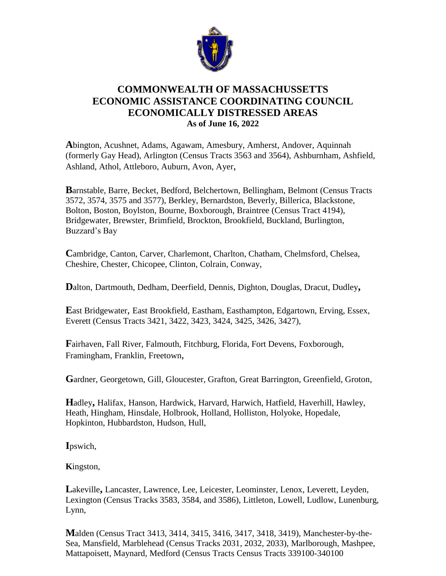

## **COMMONWEALTH OF MASSACHUSSETTS ECONOMIC ASSISTANCE COORDINATING COUNCIL ECONOMICALLY DISTRESSED AREAS As of June 16, 2022**

**A**bington, Acushnet, Adams, Agawam, Amesbury, Amherst, Andover, Aquinnah (formerly Gay Head), Arlington (Census Tracts 3563 and 3564), Ashburnham, Ashfield, Ashland, Athol, Attleboro, Auburn, Avon, Ayer,

**B**arnstable, Barre, Becket, Bedford, Belchertown, Bellingham, Belmont (Census Tracts 3572, 3574, 3575 and 3577), Berkley, Bernardston, Beverly, Billerica, Blackstone, Bolton, Boston, Boylston, Bourne, Boxborough, Braintree (Census Tract 4194), Bridgewater, Brewster, Brimfield, Brockton, Brookfield, Buckland, Burlington, Buzzard's Bay

**C**ambridge, Canton, Carver, Charlemont, Charlton, Chatham, Chelmsford, Chelsea, Cheshire, Chester, Chicopee, Clinton, Colrain, Conway,

**D**alton, Dartmouth, Dedham, Deerfield, Dennis, Dighton, Douglas, Dracut, Dudley**,** 

**E**ast Bridgewater, East Brookfield, Eastham, Easthampton, Edgartown, Erving, Essex, Everett (Census Tracts 3421, 3422, 3423, 3424, 3425, 3426, 3427),

**F**airhaven, Fall River, Falmouth, Fitchburg, Florida, Fort Devens, Foxborough, Framingham, Franklin, Freetown,

**G**ardner, Georgetown, Gill, Gloucester, Grafton, Great Barrington, Greenfield, Groton,

**H**adley**,** Halifax, Hanson, Hardwick, Harvard, Harwich, Hatfield, Haverhill, Hawley, Heath, Hingham, Hinsdale, Holbrook, Holland, Holliston, Holyoke, Hopedale, Hopkinton, Hubbardston, Hudson, Hull,

**I**pswich,

**K**ingston,

**L**akeville**,** Lancaster, Lawrence, Lee, Leicester, Leominster, Lenox, Leverett, Leyden, Lexington (Census Tracks 3583, 3584, and 3586), Littleton, Lowell, Ludlow, Lunenburg, Lynn,

**M**alden (Census Tract 3413, 3414, 3415, 3416, 3417, 3418, 3419), Manchester-by-the-Sea, Mansfield, Marblehead (Census Tracks 2031, 2032, 2033), Marlborough, Mashpee, Mattapoisett, Maynard, Medford (Census Tracts Census Tracts 339100-340100